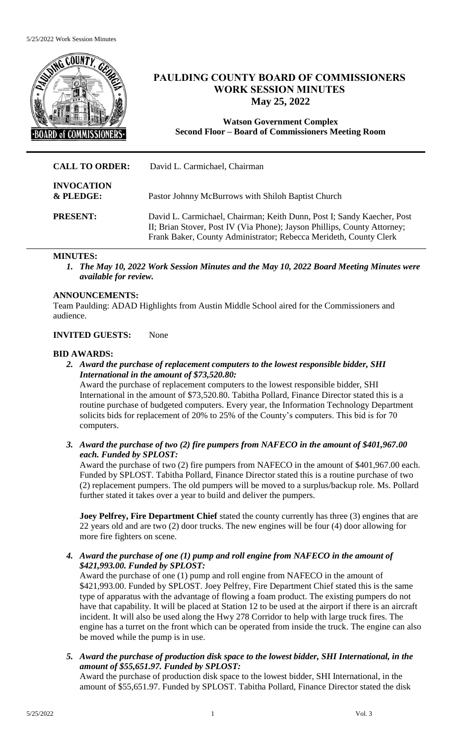

# **PAULDING COUNTY BOARD OF COMMISSIONERS WORK SESSION MINUTES May 25, 2022**

**Watson Government Complex Second Floor – Board of Commissioners Meeting Room**

| <b>CALL TO ORDER:</b>          | David L. Carmichael, Chairman                                                                                                                                                                                           |
|--------------------------------|-------------------------------------------------------------------------------------------------------------------------------------------------------------------------------------------------------------------------|
| <b>INVOCATION</b><br>& PLEDGE: | Pastor Johnny McBurrows with Shiloh Baptist Church                                                                                                                                                                      |
| <b>PRESENT:</b>                | David L. Carmichael, Chairman; Keith Dunn, Post I; Sandy Kaecher, Post<br>II; Brian Stover, Post IV (Via Phone); Jayson Phillips, County Attorney;<br>Frank Baker, County Administrator; Rebecca Merideth, County Clerk |

# **MINUTES:**

*1. The May 10, 2022 Work Session Minutes and the May 10, 2022 Board Meeting Minutes were available for review.* 

# **ANNOUNCEMENTS:**

Team Paulding: ADAD Highlights from Austin Middle School aired for the Commissioners and audience.

# **INVITED GUESTS:** None

#### **BID AWARDS:**

*2. Award the purchase of replacement computers to the lowest responsible bidder, SHI International in the amount of \$73,520.80:*

Award the purchase of replacement computers to the lowest responsible bidder, SHI International in the amount of \$73,520.80. Tabitha Pollard, Finance Director stated this is a routine purchase of budgeted computers. Every year, the Information Technology Department solicits bids for replacement of 20% to 25% of the County's computers. This bid is for 70 computers.

*3. Award the purchase of two (2) fire pumpers from NAFECO in the amount of \$401,967.00 each. Funded by SPLOST:*

Award the purchase of two (2) fire pumpers from NAFECO in the amount of \$401,967.00 each. Funded by SPLOST. Tabitha Pollard, Finance Director stated this is a routine purchase of two (2) replacement pumpers. The old pumpers will be moved to a surplus/backup role. Ms. Pollard further stated it takes over a year to build and deliver the pumpers.

**Joey Pelfrey, Fire Department Chief** stated the county currently has three (3) engines that are 22 years old and are two (2) door trucks. The new engines will be four (4) door allowing for more fire fighters on scene.

*4. Award the purchase of one (1) pump and roll engine from NAFECO in the amount of \$421,993.00. Funded by SPLOST:*

Award the purchase of one (1) pump and roll engine from NAFECO in the amount of \$421,993.00. Funded by SPLOST. Joey Pelfrey, Fire Department Chief stated this is the same type of apparatus with the advantage of flowing a foam product. The existing pumpers do not have that capability. It will be placed at Station 12 to be used at the airport if there is an aircraft incident. It will also be used along the Hwy 278 Corridor to help with large truck fires. The engine has a turret on the front which can be operated from inside the truck. The engine can also be moved while the pump is in use.

*5. Award the purchase of production disk space to the lowest bidder, SHI International, in the amount of \$55,651.97. Funded by SPLOST:*

Award the purchase of production disk space to the lowest bidder, SHI International, in the amount of \$55,651.97. Funded by SPLOST. Tabitha Pollard, Finance Director stated the disk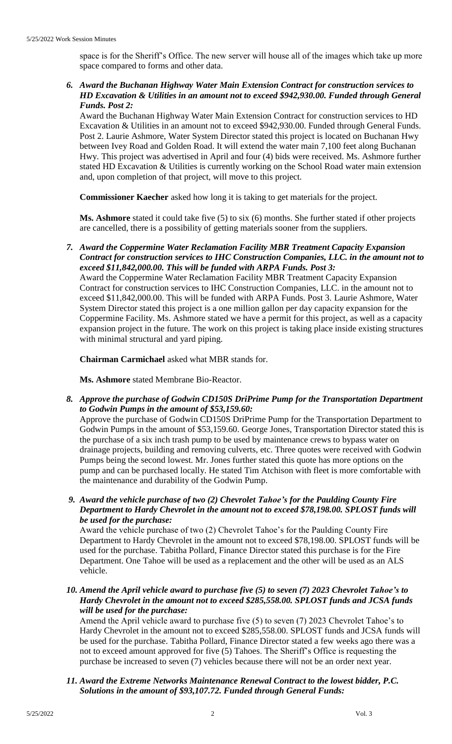space is for the Sheriff's Office. The new server will house all of the images which take up more space compared to forms and other data.

*6. Award the Buchanan Highway Water Main Extension Contract for construction services to HD Excavation & Utilities in an amount not to exceed \$942,930.00. Funded through General Funds. Post 2:*

Award the Buchanan Highway Water Main Extension Contract for construction services to HD Excavation & Utilities in an amount not to exceed \$942,930.00. Funded through General Funds. Post 2. Laurie Ashmore, Water System Director stated this project is located on Buchanan Hwy between Ivey Road and Golden Road. It will extend the water main 7,100 feet along Buchanan Hwy. This project was advertised in April and four (4) bids were received. Ms. Ashmore further stated HD Excavation & Utilities is currently working on the School Road water main extension and, upon completion of that project, will move to this project.

**Commissioner Kaecher** asked how long it is taking to get materials for the project.

**Ms. Ashmore** stated it could take five (5) to six (6) months. She further stated if other projects are cancelled, there is a possibility of getting materials sooner from the suppliers.

*7. Award the Coppermine Water Reclamation Facility MBR Treatment Capacity Expansion Contract for construction services to IHC Construction Companies, LLC. in the amount not to exceed \$11,842,000.00. This will be funded with ARPA Funds. Post 3:*

Award the Coppermine Water Reclamation Facility MBR Treatment Capacity Expansion Contract for construction services to IHC Construction Companies, LLC. in the amount not to exceed \$11,842,000.00. This will be funded with ARPA Funds. Post 3. Laurie Ashmore, Water System Director stated this project is a one million gallon per day capacity expansion for the Coppermine Facility. Ms. Ashmore stated we have a permit for this project, as well as a capacity expansion project in the future. The work on this project is taking place inside existing structures with minimal structural and yard piping.

**Chairman Carmichael** asked what MBR stands for.

**Ms. Ashmore** stated Membrane Bio-Reactor.

*8. Approve the purchase of Godwin CD150S DriPrime Pump for the Transportation Department to Godwin Pumps in the amount of \$53,159.60:*

Approve the purchase of Godwin CD150S DriPrime Pump for the Transportation Department to Godwin Pumps in the amount of \$53,159.60. George Jones, Transportation Director stated this is the purchase of a six inch trash pump to be used by maintenance crews to bypass water on drainage projects, building and removing culverts, etc. Three quotes were received with Godwin Pumps being the second lowest. Mr. Jones further stated this quote has more options on the pump and can be purchased locally. He stated Tim Atchison with fleet is more comfortable with the maintenance and durability of the Godwin Pump.

*9. Award the vehicle purchase of two (2) Chevrolet Tahoe's for the Paulding County Fire Department to Hardy Chevrolet in the amount not to exceed \$78,198.00. SPLOST funds will be used for the purchase:*

Award the vehicle purchase of two (2) Chevrolet Tahoe's for the Paulding County Fire Department to Hardy Chevrolet in the amount not to exceed \$78,198.00. SPLOST funds will be used for the purchase. Tabitha Pollard, Finance Director stated this purchase is for the Fire Department. One Tahoe will be used as a replacement and the other will be used as an ALS vehicle.

*10. Amend the April vehicle award to purchase five (5) to seven (7) 2023 Chevrolet Tahoe's to Hardy Chevrolet in the amount not to exceed \$285,558.00. SPLOST funds and JCSA funds will be used for the purchase:*

Amend the April vehicle award to purchase five (5) to seven (7) 2023 Chevrolet Tahoe's to Hardy Chevrolet in the amount not to exceed \$285,558.00. SPLOST funds and JCSA funds will be used for the purchase. Tabitha Pollard, Finance Director stated a few weeks ago there was a not to exceed amount approved for five (5) Tahoes. The Sheriff's Office is requesting the purchase be increased to seven (7) vehicles because there will not be an order next year.

*11. Award the Extreme Networks Maintenance Renewal Contract to the lowest bidder, P.C. Solutions in the amount of \$93,107.72. Funded through General Funds:*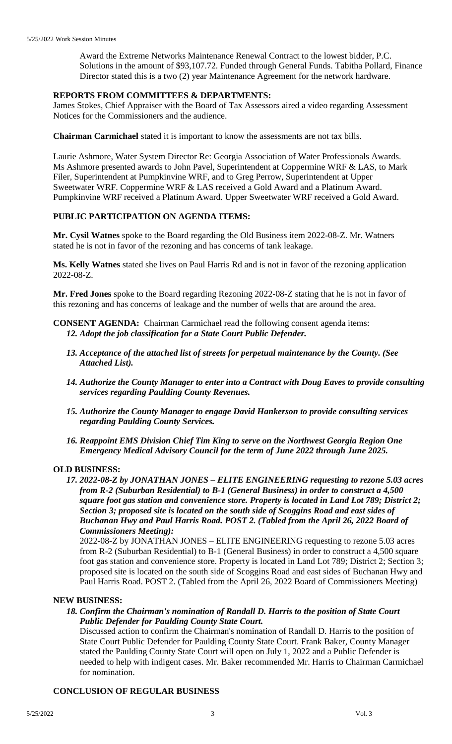Award the Extreme Networks Maintenance Renewal Contract to the lowest bidder, P.C. Solutions in the amount of \$93,107.72. Funded through General Funds. Tabitha Pollard, Finance Director stated this is a two (2) year Maintenance Agreement for the network hardware.

# **REPORTS FROM COMMITTEES & DEPARTMENTS:**

James Stokes, Chief Appraiser with the Board of Tax Assessors aired a video regarding Assessment Notices for the Commissioners and the audience.

**Chairman Carmichael** stated it is important to know the assessments are not tax bills.

Laurie Ashmore, Water System Director Re: Georgia Association of Water Professionals Awards. Ms Ashmore presented awards to John Pavel, Superintendent at Coppermine WRF & LAS, to Mark Filer, Superintendent at Pumpkinvine WRF, and to Greg Perrow, Superintendent at Upper Sweetwater WRF. Coppermine WRF & LAS received a Gold Award and a Platinum Award. Pumpkinvine WRF received a Platinum Award. Upper Sweetwater WRF received a Gold Award.

### **PUBLIC PARTICIPATION ON AGENDA ITEMS:**

**Mr. Cysil Watnes** spoke to the Board regarding the Old Business item 2022-08-Z. Mr. Watners stated he is not in favor of the rezoning and has concerns of tank leakage.

**Ms. Kelly Watnes** stated she lives on Paul Harris Rd and is not in favor of the rezoning application 2022-08-Z.

**Mr. Fred Jones** spoke to the Board regarding Rezoning 2022-08-Z stating that he is not in favor of this rezoning and has concerns of leakage and the number of wells that are around the area.

- **CONSENT AGENDA:** Chairman Carmichael read the following consent agenda items: *12. Adopt the job classification for a State Court Public Defender.*
	- *13. Acceptance of the attached list of streets for perpetual maintenance by the County. (See Attached List).*
	- *14. Authorize the County Manager to enter into a Contract with Doug Eaves to provide consulting services regarding Paulding County Revenues.*
	- *15. Authorize the County Manager to engage David Hankerson to provide consulting services regarding Paulding County Services.*
	- *16. Reappoint EMS Division Chief Tim King to serve on the Northwest Georgia Region One Emergency Medical Advisory Council for the term of June 2022 through June 2025.*

#### **OLD BUSINESS:**

*17. 2022-08-Z by JONATHAN JONES – ELITE ENGINEERING requesting to rezone 5.03 acres from R-2 (Suburban Residential) to B-1 (General Business) in order to construct a 4,500 square foot gas station and convenience store. Property is located in Land Lot 789; District 2; Section 3; proposed site is located on the south side of Scoggins Road and east sides of Buchanan Hwy and Paul Harris Road. POST 2. (Tabled from the April 26, 2022 Board of Commissioners Meeting):*

2022-08-Z by JONATHAN JONES – ELITE ENGINEERING requesting to rezone 5.03 acres from R-2 (Suburban Residential) to B-1 (General Business) in order to construct a 4,500 square foot gas station and convenience store. Property is located in Land Lot 789; District 2; Section 3; proposed site is located on the south side of Scoggins Road and east sides of Buchanan Hwy and Paul Harris Road. POST 2. (Tabled from the April 26, 2022 Board of Commissioners Meeting)

#### **NEW BUSINESS:**

*18. Confirm the Chairman's nomination of Randall D. Harris to the position of State Court Public Defender for Paulding County State Court.*

Discussed action to confirm the Chairman's nomination of Randall D. Harris to the position of State Court Public Defender for Paulding County State Court. Frank Baker, County Manager stated the Paulding County State Court will open on July 1, 2022 and a Public Defender is needed to help with indigent cases. Mr. Baker recommended Mr. Harris to Chairman Carmichael for nomination.

#### **CONCLUSION OF REGULAR BUSINESS**